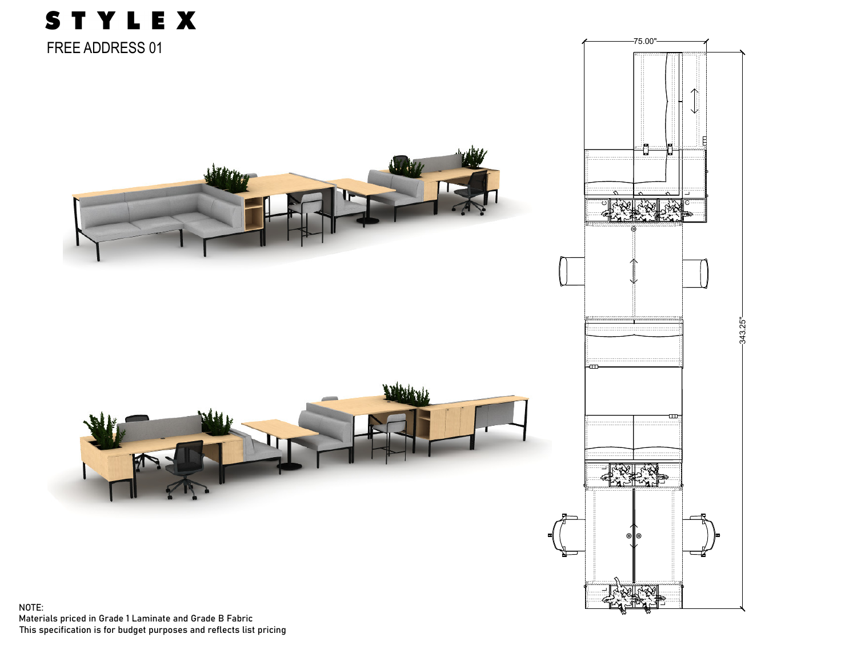

Materials priced in Grade 1 Laminate and Grade B Fabric This specification is for budget purposes and reflects list pricing